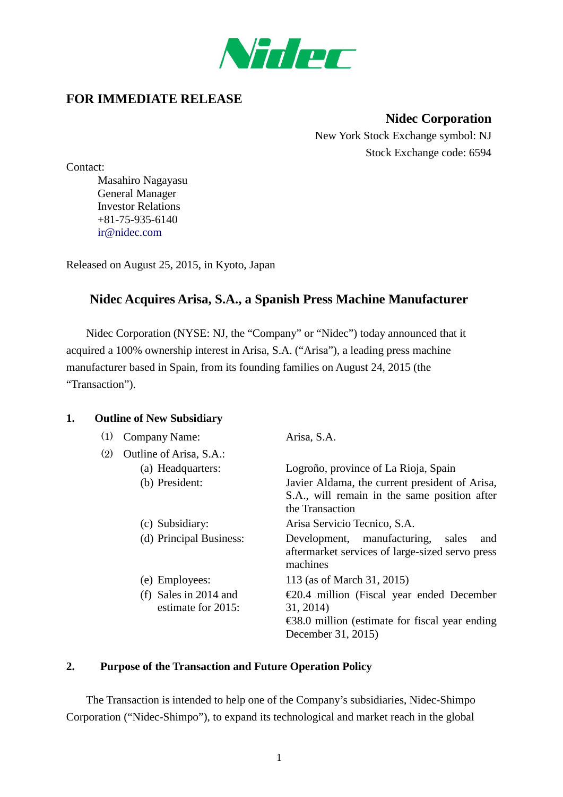

# **FOR IMMEDIATE RELEASE**

**Nidec Corporation** New York Stock Exchange symbol: NJ Stock Exchange code: 6594

Contact:

Masahiro Nagayasu General Manager Investor Relations +81-75-935-6140 [ir@nidec.com](mailto:ir@nidec.com)

Released on August 25, 2015, in Kyoto, Japan

# **Nidec Acquires Arisa, S.A., a Spanish Press Machine Manufacturer**

Nidec Corporation (NYSE: NJ, the "Company" or "Nidec") today announced that it acquired a 100% ownership interest in Arisa, S.A. ("Arisa"), a leading press machine manufacturer based in Spain, from its founding families on August 24, 2015 (the "Transaction").

#### **1. Outline of New Subsidiary**

| (1) | <b>Company Name:</b>    | Arisa, S.A.                                                                                                |
|-----|-------------------------|------------------------------------------------------------------------------------------------------------|
| (2) | Outline of Arisa, S.A.: |                                                                                                            |
|     | (a) Headquarters:       | Logroño, province of La Rioja, Spain                                                                       |
|     | (b) President:          | Javier Aldama, the current president of Arisa,                                                             |
|     |                         | S.A., will remain in the same position after<br>the Transaction                                            |
|     | (c) Subsidiary:         | Arisa Servicio Tecnico, S.A.                                                                               |
|     | (d) Principal Business: | Development, manufacturing,<br>sales<br>and<br>aftermarket services of large-sized servo press<br>machines |
|     | (e) Employees:          | 113 (as of March 31, 2015)                                                                                 |
|     | (f) Sales in $2014$ and | $\epsilon$ 20.4 million (Fiscal year ended December                                                        |
|     | estimate for 2015:      | 31, 2014)                                                                                                  |
|     |                         | $\text{\textsterling}88.0$ million (estimate for fiscal year ending                                        |
|     |                         | December 31, 2015)                                                                                         |

### **2. Purpose of the Transaction and Future Operation Policy**

The Transaction is intended to help one of the Company's subsidiaries, Nidec-Shimpo Corporation ("Nidec-Shimpo"), to expand its technological and market reach in the global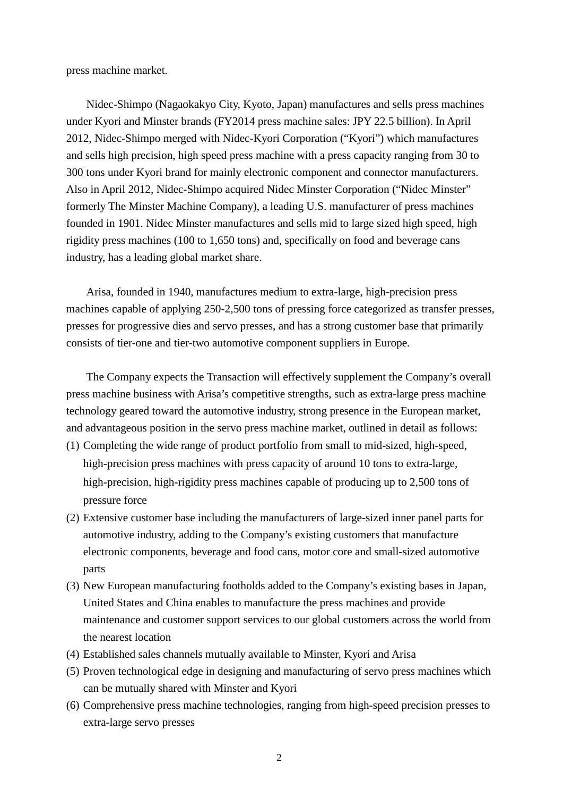press machine market.

Nidec-Shimpo (Nagaokakyo City, Kyoto, Japan) manufactures and sells press machines under Kyori and Minster brands (FY2014 press machine sales: JPY 22.5 billion). In April 2012, Nidec-Shimpo merged with Nidec-Kyori Corporation ("Kyori") which manufactures and sells high precision, high speed press machine with a press capacity ranging from 30 to 300 tons under Kyori brand for mainly electronic component and connector manufacturers. Also in April 2012, Nidec-Shimpo acquired Nidec Minster Corporation ("Nidec Minster" formerly The Minster Machine Company), a leading U.S. manufacturer of press machines founded in 1901. Nidec Minster manufactures and sells mid to large sized high speed, high rigidity press machines (100 to 1,650 tons) and, specifically on food and beverage cans industry, has a leading global market share.

Arisa, founded in 1940, manufactures medium to extra-large, high-precision press machines capable of applying 250-2,500 tons of pressing force categorized as transfer presses, presses for progressive dies and servo presses, and has a strong customer base that primarily consists of tier-one and tier-two automotive component suppliers in Europe.

The Company expects the Transaction will effectively supplement the Company's overall press machine business with Arisa's competitive strengths, such as extra-large press machine technology geared toward the automotive industry, strong presence in the European market, and advantageous position in the servo press machine market, outlined in detail as follows:

- (1) Completing the wide range of product portfolio from small to mid-sized, high-speed, high-precision press machines with press capacity of around 10 tons to extra-large, high-precision, high-rigidity press machines capable of producing up to 2,500 tons of pressure force
- (2) Extensive customer base including the manufacturers of large-sized inner panel parts for automotive industry, adding to the Company's existing customers that manufacture electronic components, beverage and food cans, motor core and small-sized automotive parts
- (3) New European manufacturing footholds added to the Company's existing bases in Japan, United States and China enables to manufacture the press machines and provide maintenance and customer support services to our global customers across the world from the nearest location
- (4) Established sales channels mutually available to Minster, Kyori and Arisa
- (5) Proven technological edge in designing and manufacturing of servo press machines which can be mutually shared with Minster and Kyori
- (6) Comprehensive press machine technologies, ranging from high-speed precision presses to extra-large servo presses